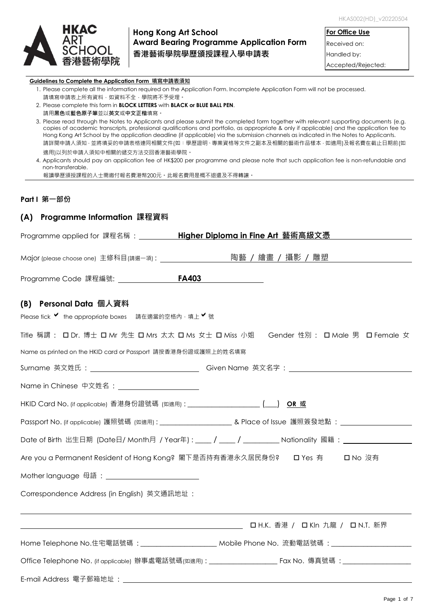

# **Hong Kong Art School Award Bearing Programme Application Form 香港藝術學院學歷頒授課程入學申請表**

**For Office Use** Received on: Handled by: Accepted/Rejected:

#### **Guidelines to Complete the Application Form 填寫申請表須知**

| 1. Please complete all the information required on the Application Form. Incomplete Application Form will not be processed. |  |  |
|-----------------------------------------------------------------------------------------------------------------------------|--|--|
| 請填寫申請表上所有資料‧如資料不全‧學院將不予受理。                                                                                                  |  |  |

- 2. Please complete this form in **BLOCK LETTERS** with **BLACK or BLUE BALL PEN**. 請用**黑色**或**藍色原子筆**並以**英文**或**中文正楷**填寫。
- 3. Please read through the Notes to Applicants and please submit the completed form together with relevant supporting documents (e.g. copies of academic transcripts, professional qualifications and portfolio, as appropriate & only if applicable) and the application fee to Hong Kong Art School by the application deadline (if applicable) via the submission channels as indicated in the Notes to Applicants. 請詳閱申請人須知 · 並將填妥的申請表格連同相關文件(如:學歷證明、專業資格等文件之副本及相關的藝術作品樣本 · 如適用)及報名費在截止日期前(如 適用)以列於申請人須知中相關的遞交方法交回香港藝術學院。

報讀學歷頒授課程的人士需繳付報名費港幣200元。此報名費用是概不退還及不得轉讓。

### **Part I 第一部份**

## **(A) Programme Information 課程資料**

| Programme applied for 課程名稱: <b>Higher Diploma in Fine Art</b> 藝術高級文憑            |                                                                                                                       |
|---------------------------------------------------------------------------------|-----------------------------------------------------------------------------------------------------------------------|
|                                                                                 | Mɑjor (pleɑse choose one)  主修科目( <sub>請選一項)</sub> : __________________________陶 <u>藝  /  繪畫  /  攝影  /  雕塑  ______</u> |
| Programme Code 課程編號: ________________ <b>FA403</b> ________________             |                                                                                                                       |
| (B) Personal Data 個人資料                                                          |                                                                                                                       |
| Please tick V the appropriate boxes 請在適當的空格內,填上 V 號                             |                                                                                                                       |
|                                                                                 | Title 稱謂 : 口Dr. 博士 口 Mr 先生 口 Mrs 太太 口 Ms 女士 口 Miss 小姐 Gender 性別 : 口 Male 男 口 Female 女                                 |
| Name as printed on the HKID card or Passport 請按香港身份證或護照上的姓名填寫                   |                                                                                                                       |
|                                                                                 | Surname 英文姓氏: ________________________________Given Name 英文名字: _________________                                      |
| Name in Chinese 中文姓名: Name in Chinese A                                         |                                                                                                                       |
| HKID Card No. (if applicable) 香港身份證號碼 (如適用) : ___________________________(____) | OR 或                                                                                                                  |
|                                                                                 | Passport No. (if applicable) 護照號碼 (如適用):______________________________& Place of Issue 護照簽發地點:________________        |
|                                                                                 | Date of Birth 出生日期 (Date日/ Month月 / Year年) : ____ / ____ / _________ Nationality 國籍 : _____________                   |
|                                                                                 | Are you a Permanent Resident of Hong Kong? 閣下是否持有香港永久居民身份? □ Yes 有 □□ No 沒有                                           |
| Mother language 母語: __________________________                                  |                                                                                                                       |
| Correspondence Address (in English) 英文通訊地址:                                     |                                                                                                                       |
|                                                                                 |                                                                                                                       |
|                                                                                 | Home Telephone No.住宅電話號碼:________________________ Mobile Phone No. 流動電話號碼:_________________________                   |
|                                                                                 |                                                                                                                       |
|                                                                                 |                                                                                                                       |

<sup>4.</sup> Applicants should pay an application fee of HK\$200 per programme and please note that such application fee is non-refundable and non-transferable.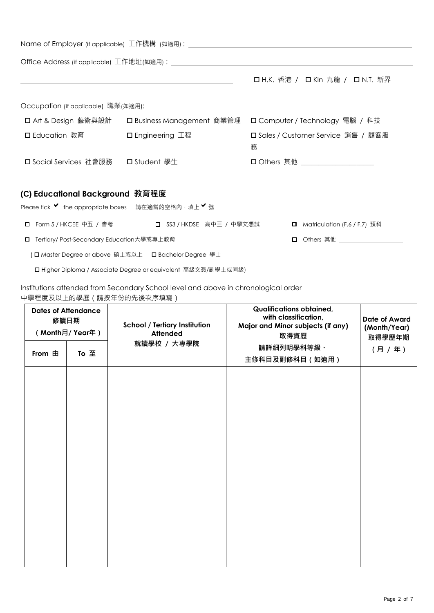|                                                                                        |                                                                                                                        | Name of Employer (if applicable)  エ作機構  (如適用):__________________________________ |
|----------------------------------------------------------------------------------------|------------------------------------------------------------------------------------------------------------------------|----------------------------------------------------------------------------------|
|                                                                                        |                                                                                                                        |                                                                                  |
|                                                                                        | <u> 1989 - Johann Stoff, deutscher Stoffen und der Stoffen und der Stoffen und der Stoffen und der Stoffen und der</u> | □ H.K. 香港 / □ Kln 九龍 / □ N.T. 新界                                                 |
| Occupation (if applicable) 職業(如適用):                                                    |                                                                                                                        |                                                                                  |
|                                                                                        |                                                                                                                        | □ Art & Design 藝術與設計 □ Business Management 商業管理 □ Computer / Technology 電腦 / 科技  |
| □ Education 教育                                                                         | □ Engineering 工程                                                                                                       | □ Sales / Customer Service 銷售 / 顧客服<br>務                                         |
| 口 Social Services 社會服務                                                                 | □ Student 學生                                                                                                           | □ Others 其他 ____________________                                                 |
| (C) Educational Background 教育程度<br>Please tick ♥ the appropriate boxes 請在適當的空格內,填上 ♥ 號 |                                                                                                                        |                                                                                  |
|                                                                                        | □ Form 5 / HKCEE 中五 / 會考 □ SS3 / HKDSE 高中三 / 中學文憑試                                                                     | <b>□</b> Matriculation (F.6 / F.7) 預科                                            |
| □ Tertiary/ Post-Secondary Education大學或專上教育                                            |                                                                                                                        | □ Others 其他 ___________________                                                  |
|                                                                                        | ( ロ Master Degree or above 碩士或以上  ロ Bachelor Degree 學士                                                                 |                                                                                  |
|                                                                                        | □ Higher Diploma / Associate Degree or equivalent 高級文憑/副學士或同級)                                                         |                                                                                  |

Institutions attended from Secondary School level and above in chronological order 中學程度及以上的學歷(請按年份的先後次序填寫)

| <b>Dates of Attendance</b><br>修讀日期<br>(Month月/Year年) |      | <b>School / Tertiary Institution</b><br><b>Attended</b> | Qualifications obtained,<br>with classification,<br>Major and Minor subjects (if any)<br>取得資歷 | Date of Award<br>(Month/Year)<br>取得學歷年期<br>(月 / 年) |  |
|------------------------------------------------------|------|---------------------------------------------------------|-----------------------------------------------------------------------------------------------|----------------------------------------------------|--|
| From 由                                               | To 至 | 就讀學校 / 大專學院<br>請詳細列明學科等級、<br>主修科目及副修科目 (如適用)            |                                                                                               |                                                    |  |
|                                                      |      |                                                         |                                                                                               |                                                    |  |
|                                                      |      |                                                         |                                                                                               |                                                    |  |
|                                                      |      |                                                         |                                                                                               |                                                    |  |
|                                                      |      |                                                         |                                                                                               |                                                    |  |
|                                                      |      |                                                         |                                                                                               |                                                    |  |
|                                                      |      |                                                         |                                                                                               |                                                    |  |
|                                                      |      |                                                         |                                                                                               |                                                    |  |
|                                                      |      |                                                         |                                                                                               |                                                    |  |
|                                                      |      |                                                         |                                                                                               |                                                    |  |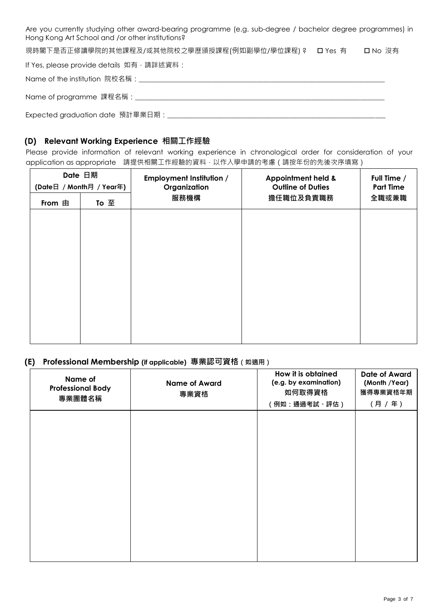Are you currently studying other award-bearing programme (e.g. sub-degree / bachelor degree programmes) in Hong Kong Art School and /or other institutions?

現時閣下是否正修讀學院的其他課程及/或其他院校之學歷頒授課程(例如副學位/學位課程) ? ロ Yes 有 ロ No 沒有

If Yes, please provide details 如有,請詳述資料:

Name of the institution 院校名稱:\_\_\_\_\_\_\_\_\_\_\_\_\_\_\_\_\_\_\_\_\_\_\_\_\_\_\_\_\_\_\_\_\_\_\_\_\_\_\_\_\_\_\_\_\_\_\_\_\_\_\_\_\_\_\_\_\_\_\_\_\_\_\_\_\_\_\_\_\_\_\_

Name of programme 課程名稱:\_\_\_\_\_\_\_\_\_\_\_\_\_\_\_\_\_\_\_\_\_\_\_\_\_\_\_\_\_\_\_\_\_\_\_\_\_\_\_\_\_\_\_\_\_\_\_\_\_\_\_\_\_\_\_\_\_\_\_\_\_\_\_\_\_\_\_\_\_\_\_\_

Expected graduation date 預計畢業日期:\_\_\_\_\_\_\_\_\_\_\_\_\_\_\_\_\_\_\_\_\_\_\_\_\_\_\_\_\_\_\_\_\_\_\_\_\_\_\_\_\_\_\_\_\_\_\_\_\_\_\_\_\_\_\_\_\_\_\_\_\_\_\_

# **(D) Relevant Working Experience 相關工作經驗**

Please provide information of relevant working experience in chronological order for consideration of your application as appropriate 請提供相關工作經驗的資料,以作入學申請的考慮(請按年份的先後次序填寫)

| Date 日期<br>(Date日 / Month月 / Year年) |      | <b>Employment Institution /</b><br><b>Appointment held &amp;</b><br>Organization<br><b>Outline of Duties</b> |           | Full Time /      |  |
|-------------------------------------|------|--------------------------------------------------------------------------------------------------------------|-----------|------------------|--|
|                                     |      |                                                                                                              |           | <b>Part Time</b> |  |
| From 由                              | To 至 | 服務機構                                                                                                         | 擔任職位及負責職務 | 全職或兼職            |  |
|                                     |      |                                                                                                              |           |                  |  |
|                                     |      |                                                                                                              |           |                  |  |
|                                     |      |                                                                                                              |           |                  |  |
|                                     |      |                                                                                                              |           |                  |  |
|                                     |      |                                                                                                              |           |                  |  |
|                                     |      |                                                                                                              |           |                  |  |
|                                     |      |                                                                                                              |           |                  |  |
|                                     |      |                                                                                                              |           |                  |  |
|                                     |      |                                                                                                              |           |                  |  |
|                                     |      |                                                                                                              |           |                  |  |
|                                     |      |                                                                                                              |           |                  |  |

# **(E) Professional Membership (if applicable) 專業認可資格(如適用)**

| Name of<br><b>Professional Body</b><br>專業團體名稱 | <b>Name of Award</b><br>專業資格 | How it is obtained<br>(e.g. by examination)<br>如何取得資格<br>(例如:通過考試、評估) | <b>Date of Award</b><br>(Month /Year)<br>獲得專業資格年期<br>(月 / 年) |
|-----------------------------------------------|------------------------------|-----------------------------------------------------------------------|--------------------------------------------------------------|
|                                               |                              |                                                                       |                                                              |
|                                               |                              |                                                                       |                                                              |
|                                               |                              |                                                                       |                                                              |
|                                               |                              |                                                                       |                                                              |
|                                               |                              |                                                                       |                                                              |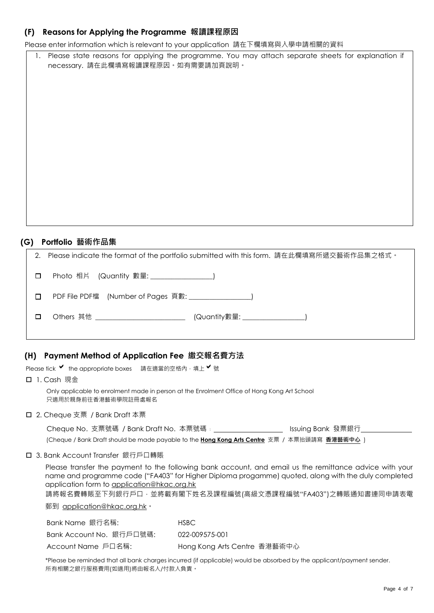# **(F) Reasons for Applying the Programme 報讀課程原因**

Please enter information which is relevant to your application 請在下欄填寫與入學申請相關的資料

1. Please state reasons for applying the programme. You may attach separate sheets for explanation if necessary. 請在此欄填寫報讀課程原因。如有需要請加頁說明。

# **(G) Portfolio 藝術作品集**

| Please indicate the format of the portfolio submitted with this form. 請在此欄填寫所遞交藝術作品集之格式。<br>2. |  |
|------------------------------------------------------------------------------------------------|--|
| $\Box$                                                                                         |  |
| PDF File PDF檔 (Number of Pages 頁數: )<br>П                                                      |  |
| Others 其他 _________________________<br>□                                                       |  |
|                                                                                                |  |

# **(H) Payment Method of Application Fee 繳交報名費方法**

Please tick ♥ the appropriate boxes 請在適當的空格內,填上♥號

1. Cash 現金

Only applicable to enrolment made in person at the Enrolment Office of Hong Kong Art School 只適用於親身前往香港藝術學院註冊處報名

### □ 2. Cheque 支票 / Bank Draft 本票

| Cheque No. 支票號碼 / Bank Draft No. 本票號碼: |  | Issuing Bank 發票銀行 |
|----------------------------------------|--|-------------------|
|----------------------------------------|--|-------------------|

(Cheque / Bank Draft should be made payable to the **Hong Kong Arts Centre** 支票 / 本票抬頭請寫 **香港藝術中心** )

### 3. Bank Account Transfer 銀行戶口轉賬

Please transfer the payment to the following bank account, and email us the remittance advice with your name and programme code ("FA403" for Higher Diploma progamme) quoted, along with the duly completed application form to application@hkac.org.hk

請將報名費轉賬至下列銀行戶口,並將載有閣下姓名及課程編號(高級文憑課程編號"FA403")之轉賬通知書連同申請表電

郵到 application@hkac.org.hk。

| Bank Name 銀行名稱:         | HSBC.                        |
|-------------------------|------------------------------|
| Bank Account No.銀行戶口號碼: | 022-009575-001               |
| Account Name 戶口名稱:      | Hong Kong Arts Centre 香港藝術中心 |

\*Please be reminded that all bank charges incurred (if applicable) would be absorbed by the applicant/payment sender. 所有相關之銀行服務費用(如適用)將由報名人/付款人負責。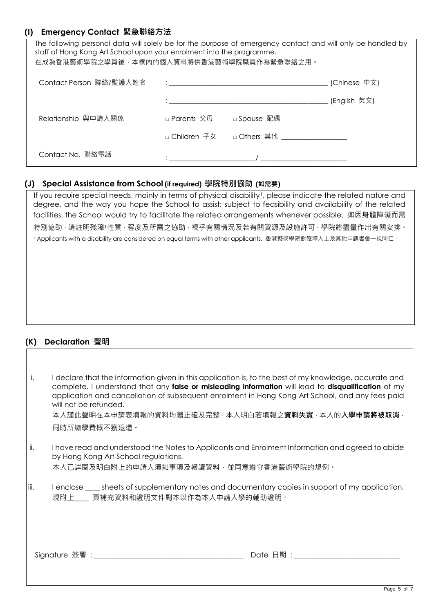# **(I) Emergency Contact 緊急聯絡方法**

| The following personal data will solely be for the purpose of emergency contact and will only be handled by<br>staff of Hong Kong Art School upon your enrolment into the programme.<br>在成為香港藝術學院之學員後,本欄內的個人資料將供香港藝術學院職員作為緊急聯絡之用。 |              |                |              |  |  |
|-----------------------------------------------------------------------------------------------------------------------------------------------------------------------------------------------------------------------------------|--------------|----------------|--------------|--|--|
| Contact Person 聯絡/監護人姓名                                                                                                                                                                                                           |              |                | (Chinese 中文) |  |  |
|                                                                                                                                                                                                                                   |              |                | (English 英文) |  |  |
| Relationship 與申請人關係                                                                                                                                                                                                               | □ Parents 父母 | □ Spouse 配偶    |              |  |  |
|                                                                                                                                                                                                                                   |              |                |              |  |  |
| Contact No. 聯絡電話                                                                                                                                                                                                                  |              | $\overline{a}$ |              |  |  |

## **(J) Special Assistance from School (if required) 學院特別協助 (如需要)**

If you require special needs, mainly in terms of physical disability<sup>1</sup>, please indicate the related nature and degree, and the way you hope the School to assist; subject to feasibility and availability of the related facilities, the School would try to facilitate the related arrangements whenever possible. 如因身體障礙而需 特別協助,請註明殘障1性質、程度及所需之協助,視乎有關情況及若有關資源及設施許可,學院將盡量作出有關安排。 1 Applicants with a disability are considered on equal terms with other applicants. 香港藝術學院對殘障人士及其他申請者會一視同仁。

# **(K) Declaration 聲明**

| i.   | I declare that the information given in this application is, to the best of my knowledge, accurate and<br>complete. I understand that any false or misleading information will lead to disqualification of my<br>application and cancellation of subsequent enrolment in Hong Kong Art School, and any fees paid<br>will not be refunded. |
|------|-------------------------------------------------------------------------------------------------------------------------------------------------------------------------------------------------------------------------------------------------------------------------------------------------------------------------------------------|
|      | 本人謹此聲明在本申請表填報的資料均屬正確及完整,本人明白若填報之資料失實,本人的入學申請將被取消,                                                                                                                                                                                                                                                                                         |
|      | 同時所繳學費概不獲退還。                                                                                                                                                                                                                                                                                                                              |
|      |                                                                                                                                                                                                                                                                                                                                           |
| ii.  | I have read and understood the Notes to Applicants and Enrolment Information and agreed to abide<br>by Hong Kong Art School regulations.                                                                                                                                                                                                  |
|      | 本人已詳閱及明白附上的申請人須知事項及報讀資料‧並同意遵守香港藝術學院的規例。                                                                                                                                                                                                                                                                                                   |
|      |                                                                                                                                                                                                                                                                                                                                           |
| iii. | I enclose <u>equal</u> sheets of supplementary notes and documentary copies in support of my application.<br>現附上   頁補充資料和證明文件副本以作為本人申請入學的輔助證明。                                                                                                                                                                                            |
|      |                                                                                                                                                                                                                                                                                                                                           |
|      |                                                                                                                                                                                                                                                                                                                                           |
|      |                                                                                                                                                                                                                                                                                                                                           |
|      |                                                                                                                                                                                                                                                                                                                                           |
|      | Signature 簽署 : https://www.analysis.com/                                                                                                                                                                                                                                                                                                  |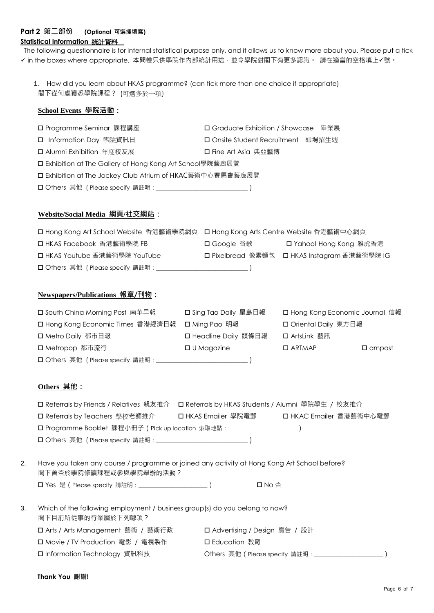## **Part 2 第二部份 (Optional 可選擇填寫) Statistical Information** 統計資料

The following questionnaire is for internal statistical purpose only, and it allows us to know more about you. Please put a tick ✔ in the boxes where appropriate. 本問卷只供學院作內部統計用途,並令學院對閣下有更多認識。 請在適當的空格填上✔號。

1. How did you learn about HKAS programme? (can tick more than one choice if appropriate) 閣下從何處獲悉學院課程? (可選多於一項)

## **School Events 學院活動:**

| □ Programme Seminar 課程講座                                  | □ Graduate Exhibition / Showcase 畢業展 |  |  |  |
|-----------------------------------------------------------|--------------------------------------|--|--|--|
| □ Information Day 學院資訊日                                   | □ Onsite Student Recruitment 即場招生週   |  |  |  |
| □ Alumni Exhibition 年度校友展                                 | 口 Fine Art Asia 典亞藝博                 |  |  |  |
| □ Exhibition at The Gallery of Hong Kong Art School學院藝廊展覽 |                                      |  |  |  |
| □ Exhibition at The Jockey Club Atrium of HKAC藝術中心賽馬會藝廊展覽 |                                      |  |  |  |
|                                                           |                                      |  |  |  |

## **Website/Social Media 網頁/社交網站:**

| □ Hong Kong Art School Website 香港藝術學院網頁 □ Hong Kong Arts Centre Website 香港藝術中心網頁 |             |                                              |
|----------------------------------------------------------------------------------|-------------|----------------------------------------------|
| □ HKAS Facebook 香港藝術學院 FB                                                        | 口 Google 谷歌 | □ Yahoo! Hong Kong 雅虎香港                      |
| □ HKAS Youtube 香港藝術學院 YouTube                                                    |             | □ Pixelbread 像素麵包 □ HKAS Instagram 香港藝術學院 IG |
| □ Others 其他 (Please specify 請註明 : _________________________________)             |             |                                              |

## **Newspapers/Publications 報章/刊物:**

| □ South China Morning Post 南華早報   | □ Sing Tao Daily 星島日報 | □ Hong Kong Economic Journal 信報   |  |
|-----------------------------------|-----------------------|-----------------------------------|--|
| □ Hong Kong Economic Times 香港經濟日報 | 口 Ming Pao 明報         | □ Oriental Daily 東方日報             |  |
| □ Metro Daily 都市日報                | □ Headline Daily 頭條日報 | □ ArtsLink 藝訊                     |  |
| 口 Metropop 都市流行                   | $\Box$ U Magazine     | $\Box$ ARTMAP<br>$\square$ ampost |  |
|                                   |                       |                                   |  |

### **Others 其他:**

| □ Referrals by Friends / Relatives 親友推介 □ Referrals by HKAS Students / Alumni 學院學生 / 校友推介 |  |                         |
|-------------------------------------------------------------------------------------------|--|-------------------------|
| □ Referrals by Teachers 學校老師推介 □ HKAS Emailer 學院電郵                                        |  | □ HKAC Emailer 香港藝術中心電郵 |
| □ Programme Booklet 課程小冊子 ( Pick up location 索取地點 : _________________________)            |  |                         |
|                                                                                           |  |                         |
|                                                                                           |  |                         |

2. Have you taken any course / programme or joined any activity at Hong Kong Art School before? 閣下曾否於學院修讀課程或參與學院舉辦的活動?

Yes 是(Please specify 請註明:\_\_\_\_\_\_\_\_\_\_\_\_\_\_\_\_\_\_\_\_\_) No 否

| 3. | Which of the following employment / business group(s) do you belong to now? |                                                 |  |  |  |
|----|-----------------------------------------------------------------------------|-------------------------------------------------|--|--|--|
|    | 閣下目前所從事的行業屬於下列哪項?                                                           |                                                 |  |  |  |
|    | □ Arts / Arts Management 藝術 / 藝術行政                                          | □ Advertising / Design 廣告 / 設計                  |  |  |  |
|    | □ Movie / TV Production 電影 / 電視製作                                           | 口 Education 教育                                  |  |  |  |
|    | □ Information Technology 資訊科技                                               | Others 其他 ( Please specify 請註明: _______________ |  |  |  |